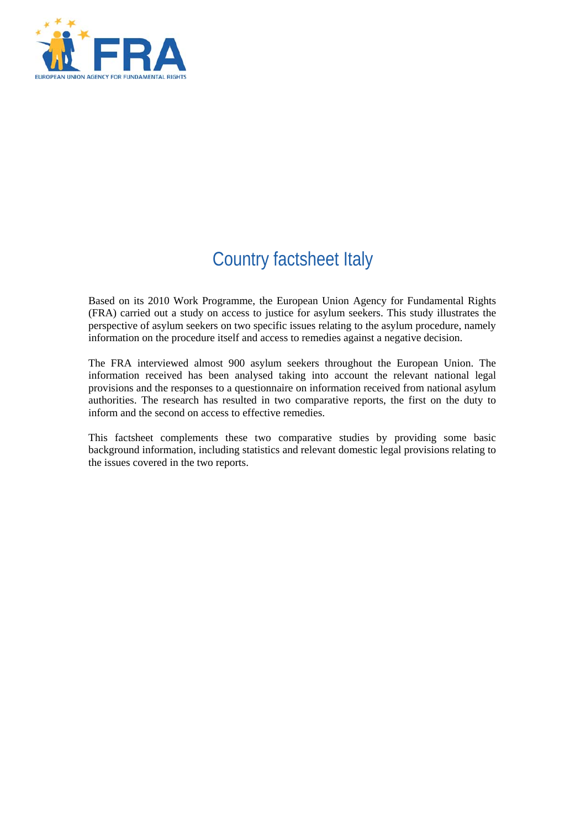

# Country factsheet Italy

Based on its 2010 Work Programme, the European Union Agency for Fundamental Rights (FRA) carried out a study on access to justice for asylum seekers. This study illustrates the perspective of asylum seekers on two specific issues relating to the asylum procedure, namely information on the procedure itself and access to remedies against a negative decision.

The FRA interviewed almost 900 asylum seekers throughout the European Union. The information received has been analysed taking into account the relevant national legal provisions and the responses to a questionnaire on information received from national asylum authorities. The research has resulted in two comparative reports, the first on the duty to inform and the second on access to effective remedies.

This factsheet complements these two comparative studies by providing some basic background information, including statistics and relevant domestic legal provisions relating to the issues covered in the two reports.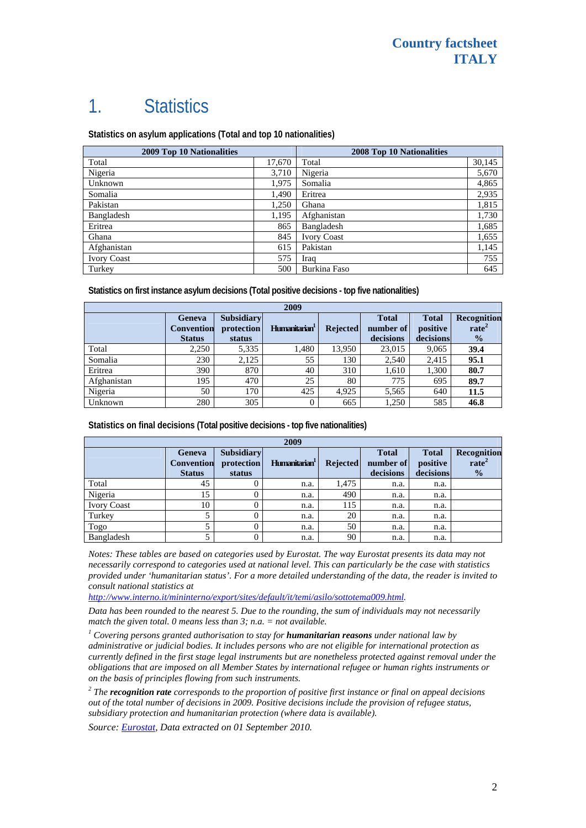# 1. Statistics

**Statistics on asylum applications (Total and top 10 nationalities)**

| <b>2009 Top 10 Nationalities</b> |        | 2008 Top 10 Nationalities |        |
|----------------------------------|--------|---------------------------|--------|
| Total                            | 17.670 | Total                     | 30,145 |
| Nigeria                          | 3,710  | Nigeria                   | 5,670  |
| Unknown                          | 1,975  | Somalia                   | 4,865  |
| Somalia                          | 1,490  | Eritrea                   | 2,935  |
| Pakistan                         | 1,250  | Ghana                     | 1,815  |
| Bangladesh                       | 1,195  | Afghanistan               | 1,730  |
| Eritrea                          | 865    | Bangladesh                | 1,685  |
| Ghana                            | 845    | <b>Ivory Coast</b>        | 1,655  |
| Afghanistan                      | 615    | Pakistan                  | 1,145  |
| <b>Ivory Coast</b>               | 575    | Iraq                      | 755    |
| Turkey                           | 500    | <b>Burkina Faso</b>       | 645    |

**Statistics on first instance asylum decisions (Total positive decisions - top five nationalities)** 

| 2009        |                                              |                                           |                           |                 |                                        |                                       |                                                   |
|-------------|----------------------------------------------|-------------------------------------------|---------------------------|-----------------|----------------------------------------|---------------------------------------|---------------------------------------------------|
|             | Geneva<br><b>Convention</b><br><b>Status</b> | <b>Subsidiary</b><br>protection<br>status | Humanitarian <sup>1</sup> | <b>Rejected</b> | <b>Total</b><br>number of<br>decisions | <b>Total</b><br>positive<br>decisions | Recognition<br>rate <sup>2</sup><br>$\frac{0}{2}$ |
| Total       | 2,250                                        | 5,335                                     | 1,480                     | 13.950          | 23,015                                 | 9,065                                 | 39.4                                              |
| Somalia     | 230                                          | 2,125                                     | 55                        | 130             | 2,540                                  | 2,415                                 | 95.1                                              |
| Eritrea     | 390                                          | 870                                       | 40                        | 310             | 1,610                                  | 1,300                                 | 80.7                                              |
| Afghanistan | 195                                          | 470                                       | 25                        | 80              | 775                                    | 695                                   | 89.7                                              |
| Nigeria     | 50                                           | 170                                       | 425                       | 4.925           | 5,565                                  | 640                                   | 11.5                                              |
| Unknown     | 280                                          | 305                                       |                           | 665             | 1,250                                  | 585                                   | 46.8                                              |

**Statistics on final decisions (Total positive decisions - top five nationalities)** 

| 2009               |                                                     |                                           |                           |                 |                                        |                                       |                                                   |
|--------------------|-----------------------------------------------------|-------------------------------------------|---------------------------|-----------------|----------------------------------------|---------------------------------------|---------------------------------------------------|
|                    | <b>Geneva</b><br><b>Convention</b><br><b>Status</b> | <b>Subsidiary</b><br>protection<br>status | Humanitarian <sup>1</sup> | <b>Rejected</b> | <b>Total</b><br>number of<br>decisions | <b>Total</b><br>positive<br>decisions | Recognition<br>rate <sup>2</sup><br>$\frac{0}{0}$ |
| Total              | 45                                                  |                                           | n.a.                      | 1,475           | n.a.                                   | n.a.                                  |                                                   |
| Nigeria            | 15                                                  |                                           | n.a.                      | 490             | n.a.                                   | n.a.                                  |                                                   |
| <b>Ivory Coast</b> | 10                                                  |                                           | n.a.                      | 115             | n.a.                                   | n.a.                                  |                                                   |
| Turkey             |                                                     |                                           | n.a.                      | 20              | n.a.                                   | n.a.                                  |                                                   |
| Togo               |                                                     |                                           | n.a.                      | 50              | n.a.                                   | n.a.                                  |                                                   |
| Bangladesh         |                                                     |                                           | n.a.                      | 90              | n.a.                                   | n.a.                                  |                                                   |

*Notes: These tables are based on categories used by Eurostat. The way Eurostat presents its data may not necessarily correspond to categories used at national level. This can particularly be the case with statistics provided under 'humanitarian status'. For a more detailed understanding of the data, the reader is invited to consult national statistics at* 

*<http://www.interno.it/mininterno/export/sites/default/it/temi/asilo/sottotema009.html>.* 

*Data has been rounded to the nearest 5. Due to the rounding, the sum of individuals may not necessarily match the given total. 0 means less than 3; n.a. = not available.* 

<sup>1</sup> Covering persons granted authorisation to stay for **humanitarian reasons** under national law by *administrative or judicial bodies. It includes persons who are not eligible for international protection as currently defined in the first stage legal instruments but are nonetheless protected against removal under the obligations that are imposed on all Member States by international refugee or human rights instruments or on the basis of principles flowing from such instruments.* 

*2 The recognition rate corresponds to the proportion of positive first instance or final on appeal decisions out of the total number of decisions in 2009. Positive decisions include the provision of refugee status, subsidiary protection and humanitarian protection (where data is available).* 

*Source: [Eurostat,](http://epp.eurostat.ec.europa.eu/) Data extracted on 01 September 2010.*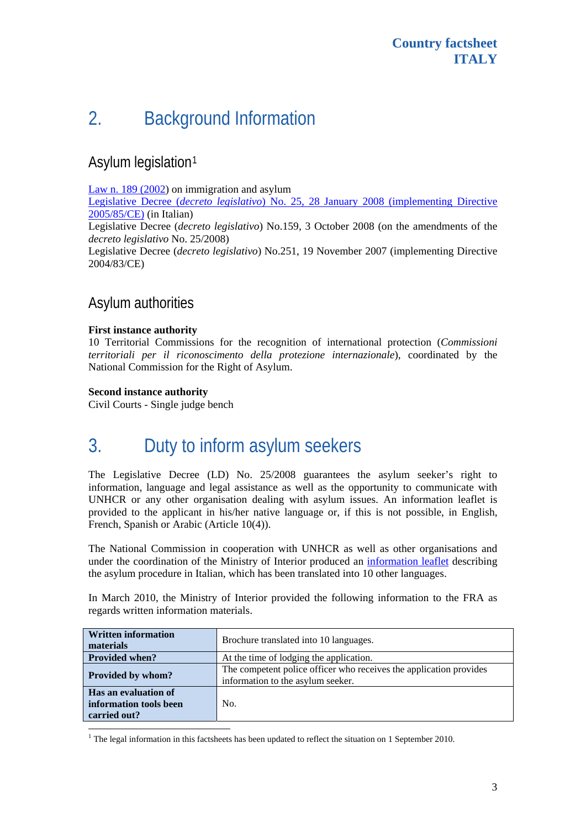# 2. Background Information

## Asylum legislation[1](#page-2-0)

[Law n. 189 \(2002](http://www.unhcr.org/refworld/pdfid/3e676d5fa.pdf)) on immigration and asylum

Legislative Decree (*decreto legislativo*[\) No. 25, 28 January 2008 \(implementing Directive](http://www.interno.it/mininterno/export/sites/default/it/sezioni/servizi/legislazione/immigrazione/0984_2008_02_15_Dlgs_28_1_2008_25.html)  [2005/85/CE\)](http://www.interno.it/mininterno/export/sites/default/it/sezioni/servizi/legislazione/immigrazione/0984_2008_02_15_Dlgs_28_1_2008_25.html) (in Italian)

Legislative Decree (*decreto legislativo*) No.159, 3 October 2008 (on the amendments of the *decreto legislativo* No. 25/2008)

Legislative Decree (*decreto legislativo*) No.251, 19 November 2007 (implementing Directive 2004/83/CE)

## Asylum authorities

#### **First instance authority**

10 Territorial Commissions for the recognition of international protection (*[Commissioni](http://www.interno.it/mininterno/export/sites/default/it/temi/asilo/sottotema0021/)  [territoriali per il riconoscimento della protezione internazionale](http://www.interno.it/mininterno/export/sites/default/it/temi/asilo/sottotema0021/)*), coordinated by the National Commission for the Right of Asylum.

#### **Second instance authority**

Civil Courts - Single judge bench

# 3. Duty to inform asylum seekers

The Legislative Decree (LD) No. 25/2008 guarantees the asylum seeker's right to information, language and legal assistance as well as the opportunity to communicate with UNHCR or any other organisation dealing with asylum issues. An information leaflet is provided to the applicant in his/her native language or, if this is not possible, in English, French, Spanish or Arabic (Article 10(4)).

The National Commission in cooperation with UNHCR as well as other organisations and under the coordination of the Ministry of Interior produced an [information leaflet](http://www.interno.it/mininterno/export/sites/default/it/sezioni/sala_stampa/notizie/asilo/0518_2009_09_08_traduzioni_nove_lingue.html) describing the asylum procedure in Italian, which has been translated into 10 other languages.

In March 2010, the Ministry of Interior provided the following information to the FRA as regards written information materials.

| <b>Written information</b><br>materials                        | Brochure translated into 10 languages.                                                                  |  |  |
|----------------------------------------------------------------|---------------------------------------------------------------------------------------------------------|--|--|
| <b>Provided when?</b>                                          | At the time of lodging the application.                                                                 |  |  |
| Provided by whom?                                              | The competent police officer who receives the application provides<br>information to the asylum seeker. |  |  |
| Has an evaluation of<br>information tools been<br>carried out? | No.                                                                                                     |  |  |

<span id="page-2-0"></span><sup>&</sup>lt;sup>1</sup> The legal information in this factsheets has been updated to reflect the situation on 1 September 2010.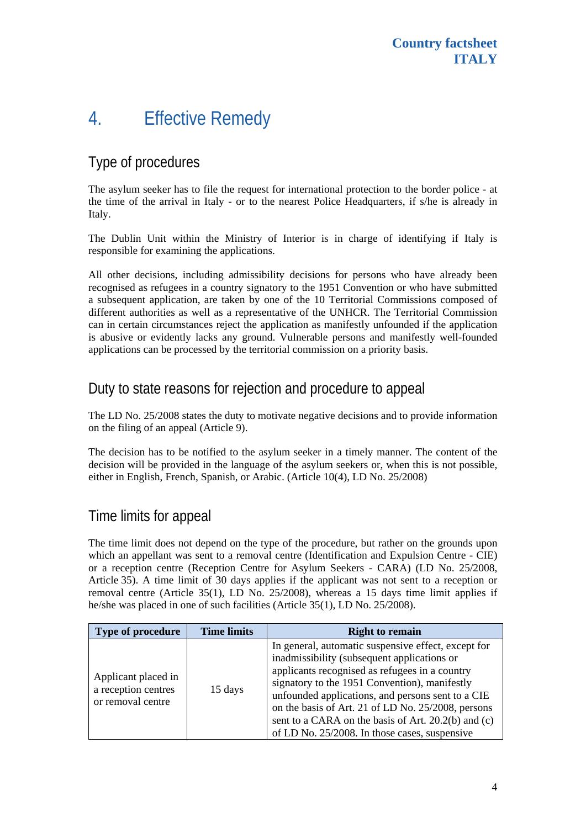# 4. Effective Remedy

## Type of procedures

The asylum seeker has to file the request for international protection to the border police - at the time of the arrival in Italy - or to the nearest Police Headquarters, if s/he is already in Italy.

The Dublin Unit within the Ministry of Interior is in charge of identifying if Italy is responsible for examining the applications.

All other decisions, including admissibility decisions for persons who have already been recognised as refugees in a country signatory to the 1951 Convention or who have submitted a subsequent application, are taken by one of the 10 Territorial Commissions composed of different authorities as well as a representative of the UNHCR. The Territorial Commission can in certain circumstances reject the application as manifestly unfounded if the application is abusive or evidently lacks any ground. Vulnerable persons and manifestly well-founded applications can be processed by the territorial commission on a priority basis.

### Duty to state reasons for rejection and procedure to appeal

The LD No. 25/2008 states the duty to motivate negative decisions and to provide information on the filing of an appeal (Article 9).

The decision has to be notified to the asylum seeker in a timely manner. The content of the decision will be provided in the language of the asylum seekers or, when this is not possible, either in English, French, Spanish, or Arabic. (Article 10(4), LD No. 25/2008)

## Time limits for appeal

The time limit does not depend on the type of the procedure, but rather on the grounds upon which an appellant was sent to a removal centre (Identification and Expulsion Centre - CIE) or a reception centre (Reception Centre for Asylum Seekers - CARA) (LD No. 25/2008, Article 35). A time limit of 30 days applies if the applicant was not sent to a reception or removal centre (Article 35(1), LD No.  $25/2008$ ), whereas a 15 days time limit applies if he/she was placed in one of such facilities (Article 35(1), LD No. 25/2008).

| <b>Type of procedure</b>                                        | <b>Time limits</b> | <b>Right to remain</b>                                                                                                                                                                                                                                                                                                                                                                                                   |
|-----------------------------------------------------------------|--------------------|--------------------------------------------------------------------------------------------------------------------------------------------------------------------------------------------------------------------------------------------------------------------------------------------------------------------------------------------------------------------------------------------------------------------------|
| Applicant placed in<br>a reception centres<br>or removal centre | 15 days            | In general, automatic suspensive effect, except for<br>inadmissibility (subsequent applications or<br>applicants recognised as refugees in a country<br>signatory to the 1951 Convention), manifestly<br>unfounded applications, and persons sent to a CIE<br>on the basis of Art. 21 of LD No. 25/2008, persons<br>sent to a CARA on the basis of Art. 20.2(b) and (c)<br>of LD No. 25/2008. In those cases, suspensive |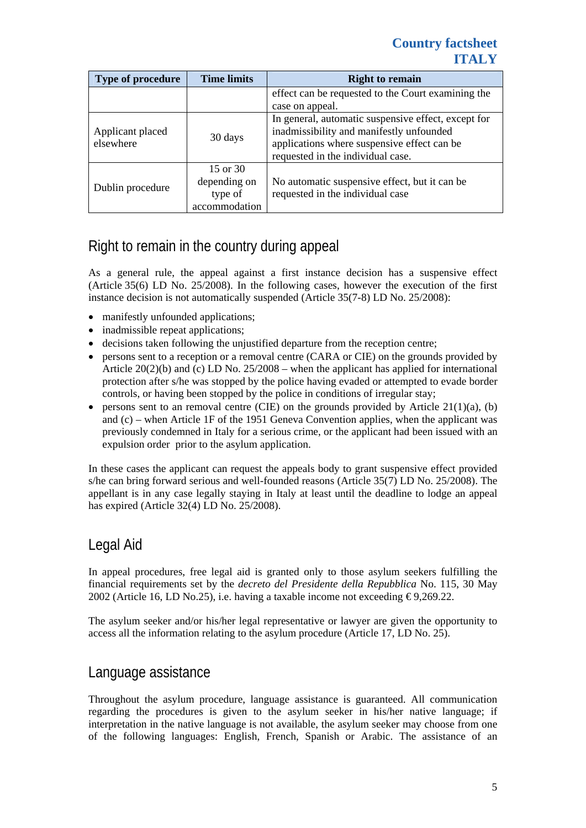#### **Country factsheet ITALY**

| Type of procedure             | <b>Time limits</b>                                   | <b>Right to remain</b>                                                                                                                                                              |  |
|-------------------------------|------------------------------------------------------|-------------------------------------------------------------------------------------------------------------------------------------------------------------------------------------|--|
|                               |                                                      | effect can be requested to the Court examining the                                                                                                                                  |  |
|                               |                                                      | case on appeal.                                                                                                                                                                     |  |
| Applicant placed<br>elsewhere | 30 days                                              | In general, automatic suspensive effect, except for<br>inadmissibility and manifestly unfounded<br>applications where suspensive effect can be<br>requested in the individual case. |  |
| Dublin procedure              | 15 or 30<br>depending on<br>type of<br>accommodation | No automatic suspensive effect, but it can be<br>requested in the individual case                                                                                                   |  |

## Right to remain in the country during appeal

As a general rule, the appeal against a first instance decision has a suspensive effect (Article 35(6) LD No. 25/2008). In the following cases, however the execution of the first instance decision is not automatically suspended (Article 35(7-8) LD No. 25/2008):

- manifestly unfounded applications;
- inadmissible repeat applications:
- decisions taken following the unjustified departure from the reception centre;
- persons sent to a reception or a removal centre (CARA or CIE) on the grounds provided by Article  $20(2)(b)$  and (c) LD No.  $25/2008$  – when the applicant has applied for international protection after s/he was stopped by the police having evaded or attempted to evade border controls, or having been stopped by the police in conditions of irregular stay;
- persons sent to an removal centre (CIE) on the grounds provided by Article  $21(1)(a)$ , (b) and (c) – when Article 1F of the 1951 Geneva Convention applies, when the applicant was previously condemned in Italy for a serious crime, or the applicant had been issued with an expulsion order prior to the asylum application.

In these cases the applicant can request the appeals body to grant suspensive effect provided s/he can bring forward serious and well-founded reasons (Article 35(7) LD No. 25/2008). The appellant is in any case legally staying in Italy at least until the deadline to lodge an appeal has expired (Article 32(4) LD No. 25/2008).

## Legal Aid

In appeal procedures, free legal aid is granted only to those asylum seekers fulfilling the financial requirements set by the *decreto del Presidente della Repubblica* No. 115, 30 May 2002 (Article 16, LD No.25), i.e. having a taxable income not exceeding  $\epsilon$ 9,269.22.

The asylum seeker and/or his/her legal representative or lawyer are given the opportunity to access all the information relating to the asylum procedure (Article 17, LD No. 25).

#### Language assistance

Throughout the asylum procedure, language assistance is guaranteed. All communication regarding the procedures is given to the asylum seeker in his/her native language; if interpretation in the native language is not available, the asylum seeker may choose from one of the following languages: English, French, Spanish or Arabic. The assistance of an